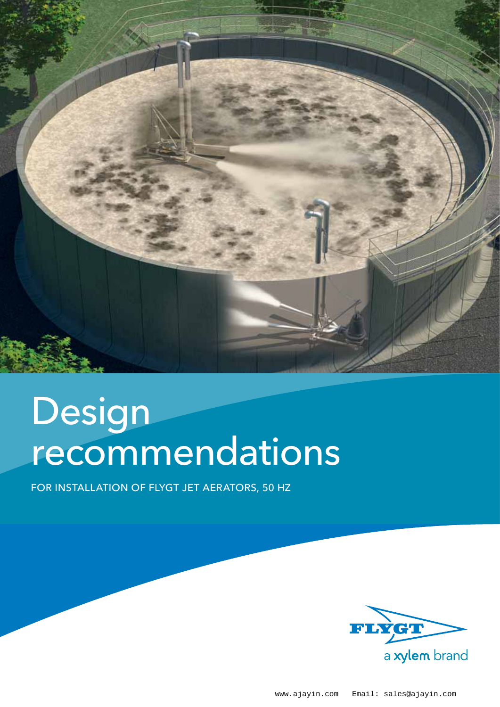

# Design recommendations

for installation of Flygt jet aerators, 50 Hz

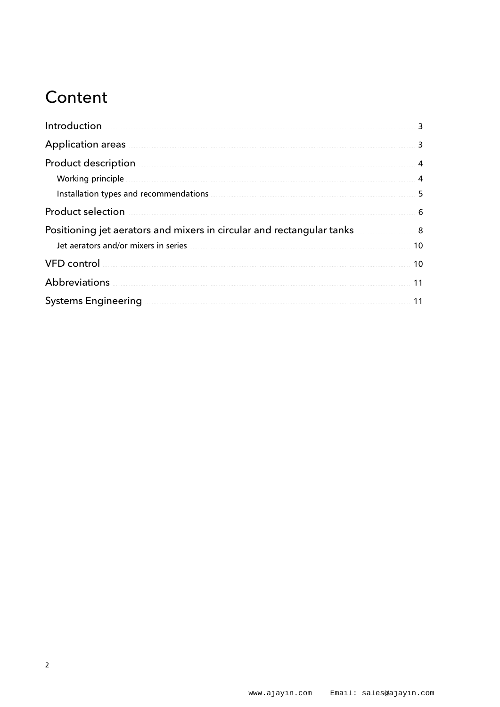### Content

| Introduction                                                                                                                                                                                                                         | 3              |
|--------------------------------------------------------------------------------------------------------------------------------------------------------------------------------------------------------------------------------------|----------------|
| Application areas                                                                                                                                                                                                                    | 3              |
| Product description                                                                                                                                                                                                                  | 4              |
| Working principle                                                                                                                                                                                                                    | $\overline{4}$ |
| Installation types and recommendations <b>CONSTRANT CONSTRANT OF A CONSTRANT CONSTRANT OF A CONSTRANT CONSTRANT OF A CONSTRANT OF A CONSTRANT OF A CONSTRANT OF A CONSTRANT OF A CONSTRANT OF A CONSTRAINING OF A CONSTRAINING O</b> | 5              |
| <b>Product selection</b>                                                                                                                                                                                                             | 6              |
| Positioning jet aerators and mixers in circular and rectangular tanks                                                                                                                                                                | 8              |
| Jet aerators and/or mixers in series <b>contained a series</b> and the series and the series of the series of the series of the series of the series of the series of the series of the series of the series of the series of the s  | 10             |
| VFD control with the control of the control of the control of the control of the control of the control of the                                                                                                                       | 10             |
| Abbreviations                                                                                                                                                                                                                        | 11             |
| <b>Systems Engineering</b>                                                                                                                                                                                                           | 11             |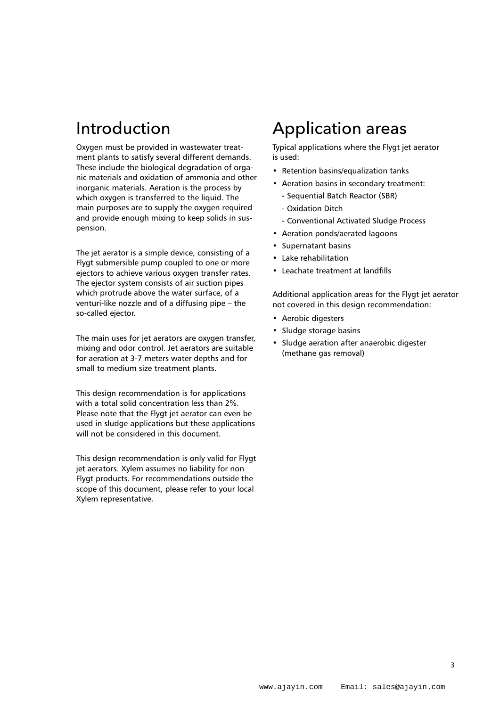### Introduction

Oxygen must be provided in wastewater treatment plants to satisfy several different demands. These include the biological degradation of organic materials and oxidation of ammonia and other inorganic materials. Aeration is the process by which oxygen is transferred to the liquid. The main purposes are to supply the oxygen required and provide enough mixing to keep solids in suspension.

The jet aerator is a simple device, consisting of a Flygt submersible pump coupled to one or more ejectors to achieve various oxygen transfer rates. The ejector system consists of air suction pipes which protrude above the water surface, of a venturi-like nozzle and of a diffusing pipe – the so-called ejector.

The main uses for jet aerators are oxygen transfer, mixing and odor control. Jet aerators are suitable for aeration at 3-7 meters water depths and for small to medium size treatment plants.

This design recommendation is for applications with a total solid concentration less than 2%. Please note that the Flygt jet aerator can even be used in sludge applications but these applications will not be considered in this document.

This design recommendation is only valid for Flygt jet aerators. Xylem assumes no liability for non Flygt products. For recommendations outside the scope of this document, please refer to your local Xylem representative.

# Application areas

Typical applications where the Flygt jet aerator is used:

- Retention basins/equalization tanks
- Aeration basins in secondary treatment:
	- Sequential Batch Reactor (SBR)
	- Oxidation Ditch
	- Conventional Activated Sludge Process
- • Aeration ponds/aerated lagoons
- • Supernatant basins
- • Lake rehabilitation
- • Leachate treatment at landfills

Additional application areas for the Flygt jet aerator not covered in this design recommendation:

- • Aerobic digesters
- • Sludge storage basins
- • Sludge aeration after anaerobic digester (methane gas removal)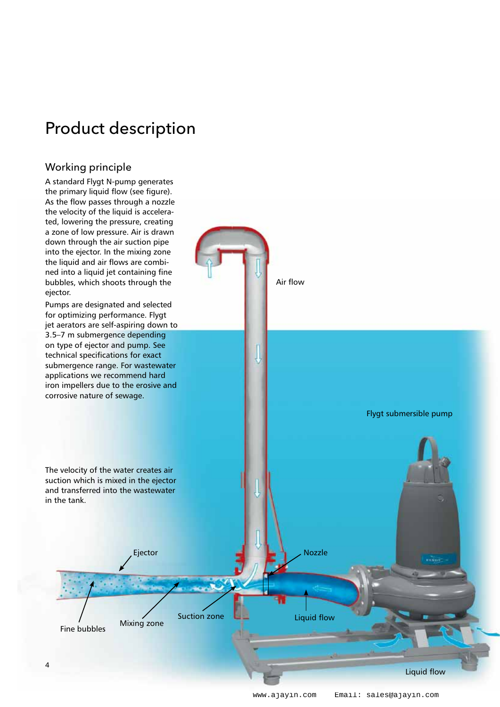# Product description

#### Working principle

A standard Flygt N-pump generates the primary liquid flow (see figure). As the flow passes through a nozzle the velocity of the liquid is accelerated, lowering the pressure, creating a zone of low pressure. Air is drawn down through the air suction pipe into the ejector. In the mixing zone the liquid and air flows are combined into a liquid jet containing fine bubbles, which shoots through the ejector.

Pumps are designated and selected for optimizing performance. Flygt jet aerators are self-aspiring down to 3.5–7 m submergence depending on type of ejector and pump. See technical specifications for exact submergence range. For wastewater applications we recommend hard iron impellers due to the erosive and corrosive nature of sewage.

The velocity of the water creates air suction which is mixed in the ejector and transferred into the wastewater in the tank.

Mixing zone Fine bubbles

Liquid flow

Flygt submersible pump

Air flow

Suction zone **Ligal** Liquid flow

Ejector Nozzle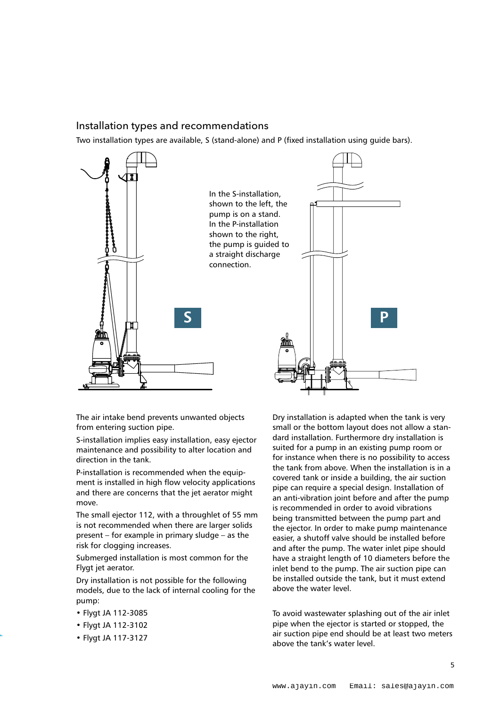#### Installation types and recommendations

Two installation types are available, S (stand-alone) and P (fixed installation using guide bars).



The air intake bend prevents unwanted objects from entering suction pipe.

S-installation implies easy installation, easy ejector maintenance and possibility to alter location and direction in the tank.

P-installation is recommended when the equipment is installed in high flow velocity applications and there are concerns that the jet aerator might move.

The small ejector 112, with a throughlet of 55 mm is not recommended when there are larger solids present – for example in primary sludge – as the risk for clogging increases.

Submerged installation is most common for the Flygt jet aerator.

Dry installation is not possible for the following models, due to the lack of internal cooling for the pump:

- Flygt JA 112-3085
- Flygt JA 112-3102
- Flygt JA 117-3127

Dry installation is adapted when the tank is very small or the bottom layout does not allow a standard installation. Furthermore dry installation is suited for a pump in an existing pump room or for instance when there is no possibility to access the tank from above. When the installation is in a covered tank or inside a building, the air suction pipe can require a special design. Installation of an anti-vibration joint before and after the pump is recommended in order to avoid vibrations being transmitted between the pump part and the ejector. In order to make pump maintenance easier, a shutoff valve should be installed before and after the pump. The water inlet pipe should have a straight length of 10 diameters before the inlet bend to the pump. The air suction pipe can be installed outside the tank, but it must extend above the water level.

To avoid wastewater splashing out of the air inlet pipe when the ejector is started or stopped, the air suction pipe end should be at least two meters above the tank's water level.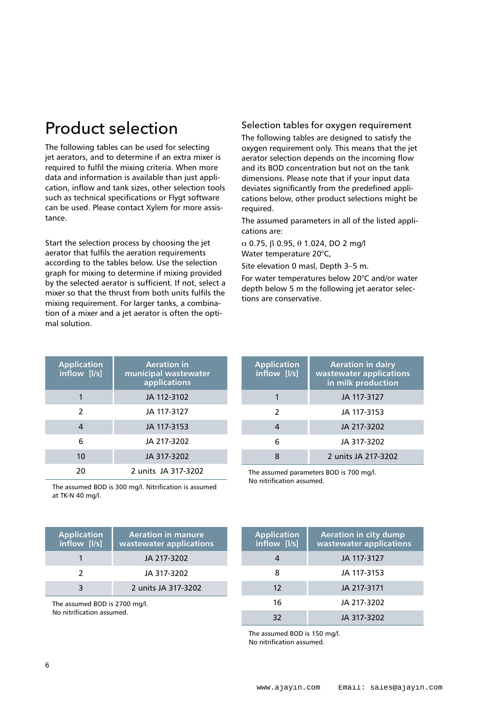# Product selection

The following tables can be used for selecting jet aerators, and to determine if an extra mixer is required to fulfil the mixing criteria. When more data and information is available than just application, inflow and tank sizes, other selection tools such as technical specifications or Flygt software can be used. Please contact Xylem for more assistance.

Start the selection process by choosing the jet aerator that fulfils the aeration requirements according to the tables below. Use the selection graph for mixing to determine if mixing provided by the selected aerator is sufficient. If not, select a mixer so that the thrust from both units fulfils the mixing requirement. For larger tanks, a combination of a mixer and a jet aerator is often the optimal solution.

| <b>Application</b><br>inflow [I/s] | <b>Aeration in</b><br>municipal wastewater<br>applications |
|------------------------------------|------------------------------------------------------------|
|                                    | JA 112-3102                                                |
| $\mathcal{L}$                      | JA 117-3127                                                |
| 4                                  | JA 117-3153                                                |
| 6                                  | JA 217-3202                                                |
| 10                                 | JA 317-3202                                                |
| 20                                 | 2 units JA 317-3202                                        |

The assumed BOD is 300 mg/l. Nitrification is assumed at TK-N 40 mg/l.

| <b>Application</b><br>inflow [I/s] | <b>Aeration in manure</b><br>wastewater applications |
|------------------------------------|------------------------------------------------------|
|                                    | JA 217-3202                                          |
|                                    | JA 317-3202                                          |
|                                    | 2 units JA 317-3202                                  |

The assumed BOD is 2700 mg/l. No nitrification assumed.

#### Selection tables for oxygen requirement

The following tables are designed to satisfy the oxygen requirement only. This means that the jet aerator selection depends on the incoming flow and its BOD concentration but not on the tank dimensions. Please note that if your input data deviates significantly from the predefined applications below, other product selections might be required.

The assumed parameters in all of the listed applications are:

 $\alpha$  0.75,  $\beta$  0.95,  $\theta$  1.024, DO 2 mg/l Water temperature 20°C,

Site elevation 0 masl, Depth 3–5 m.

For water temperatures below 20°C and/or water depth below 5 m the following jet aerator selections are conservative.

| <b>Application</b><br>inflow [I/s] | <b>Aeration in dairy</b><br>wastewater applications<br>in milk production |
|------------------------------------|---------------------------------------------------------------------------|
|                                    | JA 117-3127                                                               |
| 2                                  | JA 117-3153                                                               |
|                                    | JA 217-3202                                                               |
| 6                                  | JA 317-3202                                                               |
|                                    | 2 units JA 217-3202                                                       |

The assumed parameters BOD is 700 mg/l. No nitrification assumed.

| <b>Application</b><br>inflow [I/s] | <b>Aeration in city dump</b><br>wastewater applications |
|------------------------------------|---------------------------------------------------------|
|                                    | JA 117-3127                                             |
| 8                                  | JA 117-3153                                             |
| $12 \overline{ }$                  | JA 217-3171                                             |
| 16                                 | JA 217-3202                                             |
| 32                                 | JA 317-3202                                             |

The assumed BOD is 150 mg/l. No nitrification assumed.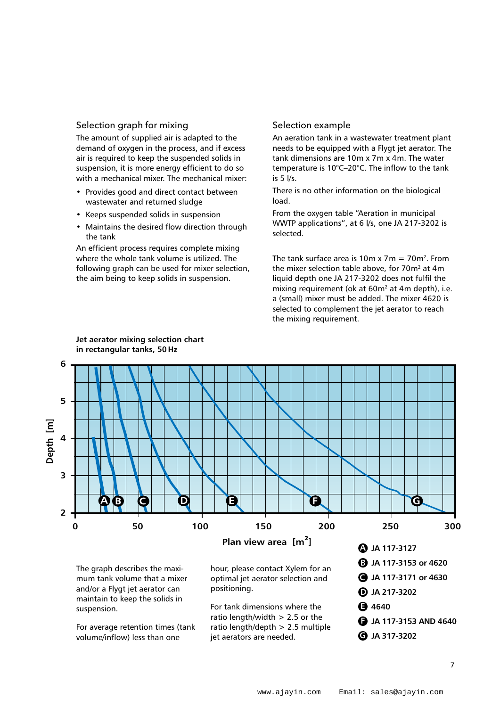#### Selection graph for mixing

The amount of supplied air is adapted to the demand of oxygen in the process, and if excess air is required to keep the suspended solids in suspension, it is more energy efficient to do so with a mechanical mixer. The mechanical mixer:

- Provides good and direct contact between wastewater and returned sludge
- Keeps suspended solids in suspension
- Maintains the desired flow direction through the tank

An efficient process requires complete mixing where the whole tank volume is utilized. The following graph can be used for mixer selection, the aim being to keep solids in suspension.

#### Selection example

An aeration tank in a wastewater treatment plant needs to be equipped with a Flygt jet aerator. The tank dimensions are 10m x 7m x 4m. The water temperature is 10°C–20°C. The inflow to the tank is 5 l/s.

There is no other information on the biological load.

From the oxygen table "Aeration in municipal WWTP applications", at 6 l/s, one JA 217-3202 is selected.

The tank surface area is 10m x 7m =  $70$ m<sup>2</sup>. From the mixer selection table above, for  $70m^2$  at  $4m$ liquid depth one JA 217-3202 does not fulfil the mixing requirement (ok at 60m<sup>2</sup> at 4m depth), i.e. a (small) mixer must be added. The mixer 4620 is selected to complement the jet aerator to reach the mixing requirement.  $\sum_{i=1}^{n}$  the mixing requirement.



**Jet aerator mixing selection chart in rectangular tanks, 50Hz**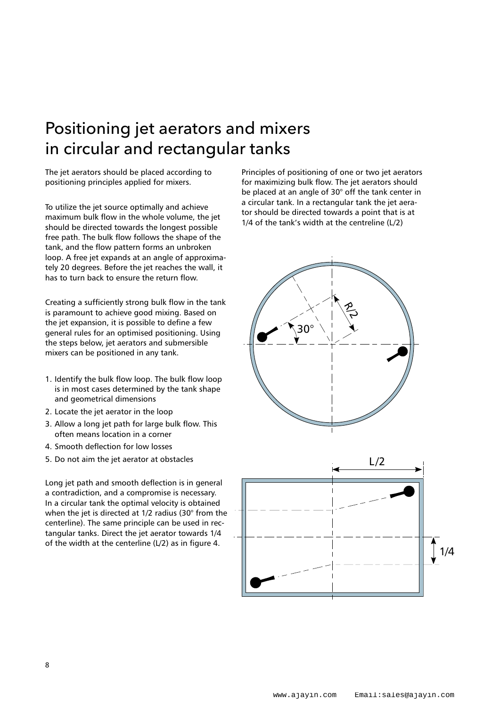### Positioning jet aerators and mixers in circular and rectangular tanks

The jet aerators should be placed according to positioning principles applied for mixers.

To utilize the jet source optimally and achieve maximum bulk flow in the whole volume, the jet should be directed towards the longest possible free path. The bulk flow follows the shape of the tank, and the flow pattern forms an unbroken loop. A free jet expands at an angle of approximately 20 degrees. Before the jet reaches the wall, it has to turn back to ensure the return flow.

Creating a sufficiently strong bulk flow in the tank is paramount to achieve good mixing. Based on the jet expansion, it is possible to define a few general rules for an optimised positioning. Using the steps below, jet aerators and submersible mixers can be positioned in any tank.

- 1. Identify the bulk flow loop. The bulk flow loop is in most cases determined by the tank shape and geometrical dimensions
- 2. Locate the jet aerator in the loop
- 3. Allow a long jet path for large bulk flow. This often means location in a corner
- 4. Smooth deflection for low losses
- 5. Do not aim the jet aerator at obstacles

Long jet path and smooth deflection is in general a contradiction, and a compromise is necessary. In a circular tank the optimal velocity is obtained when the jet is directed at 1/2 radius (30° from the centerline). The same principle can be used in rectangular tanks. Direct the jet aerator towards 1/4 of the width at the centerline (L/2) as in figure 4.

Principles of positioning of one or two jet aerators for maximizing bulk flow. The jet aerators should be placed at an angle of 30° off the tank center in a circular tank. In a rectangular tank the jet aerator should be directed towards a point that is at 1/4 of the tank's width at the centreline (L/2)



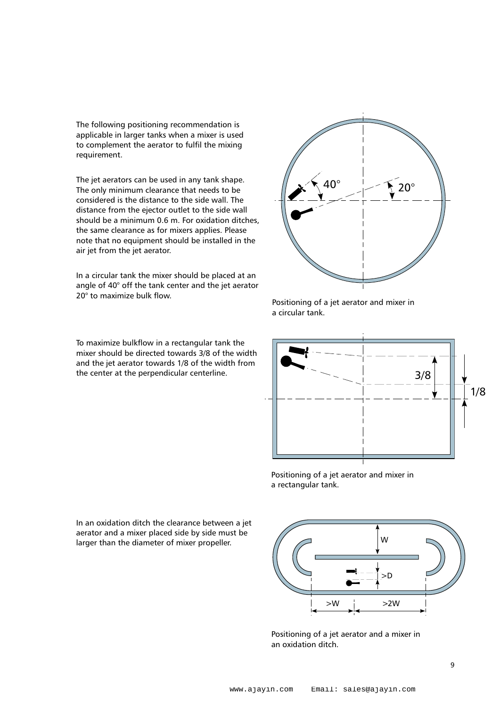The following positioning recommendation is applicable in larger tanks when a mixer is used to complement the aerator to fulfil the mixing requirement.

The jet aerators can be used in any tank shape. The only minimum clearance that needs to be considered is the distance to the side wall. The distance from the ejector outlet to the side wall should be a minimum 0.6 m. For oxidation ditches, the same clearance as for mixers applies. Please note that no equipment should be installed in the air jet from the jet aerator.

In a circular tank the mixer should be placed at an angle of 40° off the tank center and the jet aerator 20° to maximize bulk flow.

To maximize bulkflow in a rectangular tank the mixer should be directed towards 3/8 of the width and the jet aerator towards 1/8 of the width from the center at the perpendicular centerline.



Positioning of a jet aerator and mixer in a circular tank.



Positioning of a jet aerator and mixer in a rectangular tank.

In an oxidation ditch the clearance between a jet aerator and a mixer placed side by side must be larger than the diameter of mixer propeller.



Positioning of a jet aerator and a mixer in an oxidation ditch.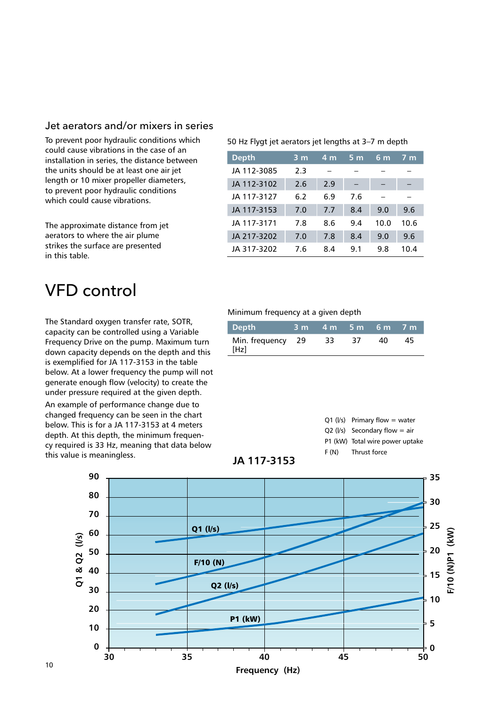#### Jet aerators and/or mixers in series

To prevent poor hydraulic conditions which could cause vibrations in the case of an installation in series, the distance between the units should be at least one air jet length or 10 mixer propeller diameters, to prevent poor hydraulic conditions which could cause vibrations.

The approximate distance from jet aerators to where the air plume strikes the surface are presented in this table.

### VFD control

The Standard oxygen transfer rate, SOTR, capacity can be controlled using a Variable Frequency Drive on the pump. Maximum turn down capacity depends on the depth and this is exemplified for JA 117-3153 in the table below. At a lower frequency the pump will not generate enough flow (velocity) to create the under pressure required at the given depth.

An example of performance change due to changed frequency can be seen in the chart below. This is for a JA 117-3153 at 4 meters depth. At this depth, the minimum frequency required is 33 Hz, meaning that data below this value is meaningless.

#### 50 Hz Flygt jet aerators jet lengths at 3–7 m depth

| <b>Depth</b> | $3 \, \text{m}$ | 4 <sub>m</sub> | 5m  | $6 \text{ m}$ | $7 \overline{m}$ |
|--------------|-----------------|----------------|-----|---------------|------------------|
| JA 112-3085  | 2.3             |                |     |               |                  |
| JA 112-3102  | 2.6             | 2.9            |     |               |                  |
| JA 117-3127  | 6.2             | 6.9            | 7.6 |               |                  |
| JA 117-3153  | 7.0             | 7.7            | 8.4 | 9.0           | 9.6              |
| JA 117-3171  | 7.8             | 8.6            | 9.4 | 10.0          | 10.6             |
| JA 217-3202  | 7.0             | 7.8            | 8.4 | 9.0           | 9.6              |
| JA 317-3202  | 7.6             | 8.4            | 9.1 | 9.8           | 10.4             |

#### Minimum frequency at a given depth

| Depth                     | 3 m 4 m 5 m 6 m 7 m |    |      |      |
|---------------------------|---------------------|----|------|------|
| Min. frequency 29<br>[Hz] | 33                  | 37 | - 40 | - 45 |





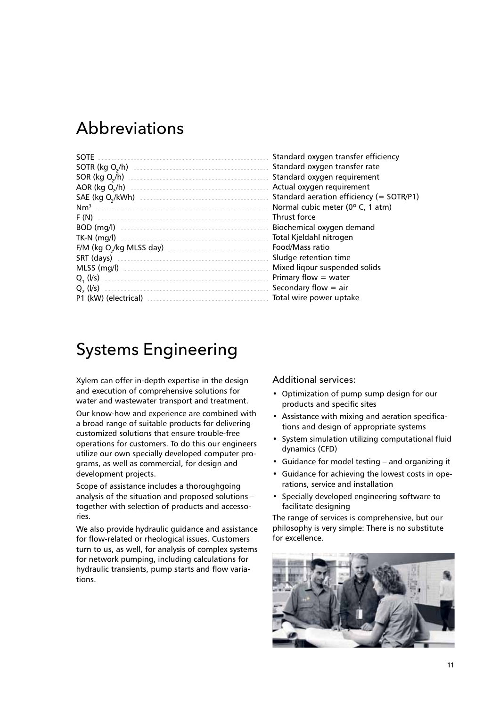### Abbreviations

| <b>SOTE</b>                                                                                                                                                                                                                                     | Star        |
|-------------------------------------------------------------------------------------------------------------------------------------------------------------------------------------------------------------------------------------------------|-------------|
| $SOTR$ (kg O <sub>2</sub> /h) $\qquad \qquad \qquad$                                                                                                                                                                                            | Star        |
| SOR (kg O <sub>2</sub> /h)                                                                                                                                                                                                                      | Star        |
| AOR (kg O <sub>2</sub> /h) <u>and the contract of the contract of the contract of the contract of the contract of the contract of the contract of the contract of the contract of the contract of the contract of the contract of the contr</u> | Actu        |
|                                                                                                                                                                                                                                                 | Star        |
|                                                                                                                                                                                                                                                 | Nor         |
|                                                                                                                                                                                                                                                 | Thru        |
| BOD (mg/l)                                                                                                                                                                                                                                      | <b>Bioc</b> |
|                                                                                                                                                                                                                                                 | Tota        |
| F/M (kg O <sub>2</sub> /kg MLSS day) <b>Manual Community</b> CHS 0.4 MHz                                                                                                                                                                        | Foo         |
| SRT (days) <u>and the contract of the set of the set of the set of the set of the set of the set of the set of the set of the set of the set of the set of the set of the set of the set of the set of the set of the set of the</u>            | Sluc        |
|                                                                                                                                                                                                                                                 | Mix         |
|                                                                                                                                                                                                                                                 | Prin        |
|                                                                                                                                                                                                                                                 | Sec         |
|                                                                                                                                                                                                                                                 | Tota        |

ndard oxygen transfer efficiency ndard oxygen transfer rate ndard oxygen reguirement ual oxygen requirement ndard aeration efficiency (= SOTR/P1) mal cubic meter (0° C, 1 atm) ust force chemical oxygen demand al Kieldahl nitrogen d/Mass ratio dae retention time ed ligour suspended solids nary flow  $=$  water ondary flow  $=$  air al wire power uptake

# **Systems Engineering**

Xylem can offer in-depth expertise in the design and execution of comprehensive solutions for water and wastewater transport and treatment.

Our know-how and experience are combined with a broad range of suitable products for delivering customized solutions that ensure trouble-free operations for customers. To do this our engineers utilize our own specially developed computer programs, as well as commercial, for design and development projects.

Scope of assistance includes a thoroughgoing analysis of the situation and proposed solutions together with selection of products and accessories.

We also provide hydraulic guidance and assistance for flow-related or rheological issues. Customers turn to us, as well, for analysis of complex systems for network pumping, including calculations for hydraulic transients, pump starts and flow variations.

**Additional services:** 

- Optimization of pump sump design for our products and specific sites
- Assistance with mixing and aeration specifications and design of appropriate systems
- System simulation utilizing computational fluid dynamics (CFD)
- Guidance for model testing and organizing it
- Guidance for achieving the lowest costs in operations, service and installation
- Specially developed engineering software to facilitate designing

The range of services is comprehensive, but our philosophy is very simple: There is no substitute for excellence.